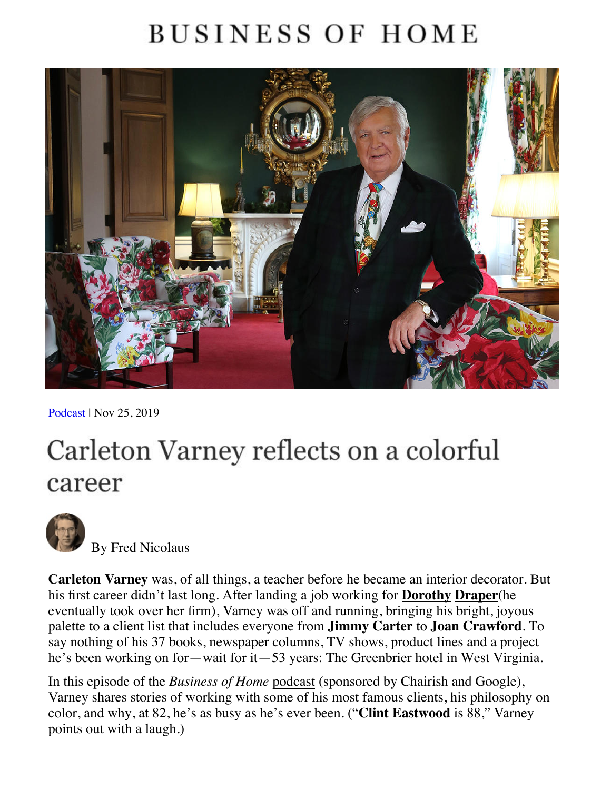## **BUSINESS OF HOME**



P[odcast](https://businessofhome.com/news/tagged/podcast) [| Nov 25, 2019](https://businessofhome.com/articles/authored_by/Fred-Nicolaus) 

# Carleton Varney reflects on a colorful career



By [Fred Nicolaus](https://businessofhome.com/articles/authored_by/Fred-Nicolaus)

**[Carleton Varney](https://businessofhome.com/articles/4958/las-vegas-market-to-honor-carleton-varney-at-winter-edition)** was, of all things, a teacher before he became an interior decorator. But his first career didn't last long. After landing a job working for **Dorothy Draper**(he eventually took over her firm), Varney was off and running, bringing his bright, joyous palette to a client list that includes everyone from **Jimmy Carter** to **Joan Crawford**. To say nothing of his 37 books, newspaper columns, TV shows, product lines and a project he's been working on for—wait for it—53 years: The Greenbrier hotel in West Virginia.

In this episode of the *[Business of Home](https://businessofhome.com/news/tagged/podcast)* podcast (sponsored by Chairish and Google), Varney shares stories of working with some of his most famous clients, his philosophy on color, and why, at 82, he's as busy as he's ever been. ("**Clint Eastwood** is 88," Varney points out with a laugh.)